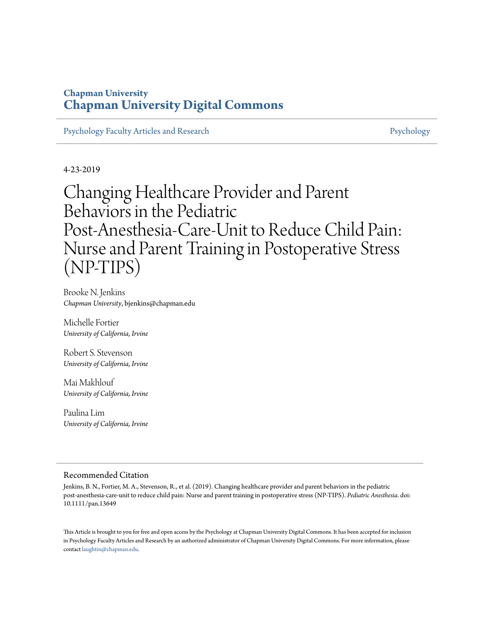## **Chapman University [Chapman University Digital Commons](https://digitalcommons.chapman.edu?utm_source=digitalcommons.chapman.edu%2Fpsychology_articles%2F149&utm_medium=PDF&utm_campaign=PDFCoverPages)**

[Psychology Faculty Articles and Research](https://digitalcommons.chapman.edu/psychology_articles?utm_source=digitalcommons.chapman.edu%2Fpsychology_articles%2F149&utm_medium=PDF&utm_campaign=PDFCoverPages) **[Psychology](https://digitalcommons.chapman.edu/psychology?utm_source=digitalcommons.chapman.edu%2Fpsychology_articles%2F149&utm_medium=PDF&utm_campaign=PDFCoverPages)** Psychology

4-23-2019

Changing Healthcare Provider and Parent Behaviors in the Pediatric Post‐Anesthesia‐Care‐Unit to Reduce Child Pain: Nurse and Parent Training in Postoperative Stress (NP‐TIPS)

Brooke N. Jenkins *Chapman University*, bjenkins@chapman.edu

Michelle Fortier *University of California, Irvine*

Robert S. Stevenson *University of California, Irvine*

Mai Makhlouf *University of California, Irvine*

Paulina Lim *University of California, Irvine*

#### Recommended Citation

Jenkins, B. N., Fortier, M. A., Stevenson, R., et al. (2019). Changing healthcare provider and parent behaviors in the pediatric post‐anesthesia‐care‐unit to reduce child pain: Nurse and parent training in postoperative stress (NP‐TIPS). *Pediatric Anesthesia*. doi: 10.1111/pan.13649

This Article is brought to you for free and open access by the Psychology at Chapman University Digital Commons. It has been accepted for inclusion in Psychology Faculty Articles and Research by an authorized administrator of Chapman University Digital Commons. For more information, please contact [laughtin@chapman.edu](mailto:laughtin@chapman.edu).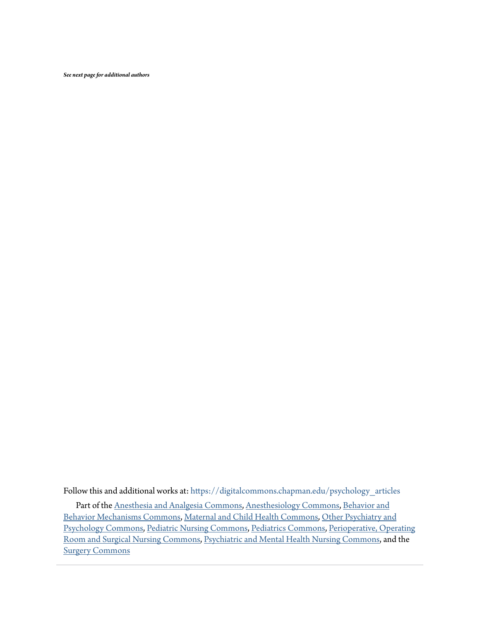*See next page for additional authors*

Follow this and additional works at: [https://digitalcommons.chapman.edu/psychology\\_articles](https://digitalcommons.chapman.edu/psychology_articles?utm_source=digitalcommons.chapman.edu%2Fpsychology_articles%2F149&utm_medium=PDF&utm_campaign=PDFCoverPages) Part of the [Anesthesia and Analgesia Commons,](http://network.bepress.com/hgg/discipline/956?utm_source=digitalcommons.chapman.edu%2Fpsychology_articles%2F149&utm_medium=PDF&utm_campaign=PDFCoverPages) [Anesthesiology Commons,](http://network.bepress.com/hgg/discipline/682?utm_source=digitalcommons.chapman.edu%2Fpsychology_articles%2F149&utm_medium=PDF&utm_campaign=PDFCoverPages) [Behavior and](http://network.bepress.com/hgg/discipline/963?utm_source=digitalcommons.chapman.edu%2Fpsychology_articles%2F149&utm_medium=PDF&utm_campaign=PDFCoverPages) [Behavior Mechanisms Commons](http://network.bepress.com/hgg/discipline/963?utm_source=digitalcommons.chapman.edu%2Fpsychology_articles%2F149&utm_medium=PDF&utm_campaign=PDFCoverPages), [Maternal and Child Health Commons,](http://network.bepress.com/hgg/discipline/745?utm_source=digitalcommons.chapman.edu%2Fpsychology_articles%2F149&utm_medium=PDF&utm_campaign=PDFCoverPages) [Other Psychiatry and](http://network.bepress.com/hgg/discipline/992?utm_source=digitalcommons.chapman.edu%2Fpsychology_articles%2F149&utm_medium=PDF&utm_campaign=PDFCoverPages) [Psychology Commons,](http://network.bepress.com/hgg/discipline/992?utm_source=digitalcommons.chapman.edu%2Fpsychology_articles%2F149&utm_medium=PDF&utm_campaign=PDFCoverPages) [Pediatric Nursing Commons,](http://network.bepress.com/hgg/discipline/723?utm_source=digitalcommons.chapman.edu%2Fpsychology_articles%2F149&utm_medium=PDF&utm_campaign=PDFCoverPages) [Pediatrics Commons,](http://network.bepress.com/hgg/discipline/700?utm_source=digitalcommons.chapman.edu%2Fpsychology_articles%2F149&utm_medium=PDF&utm_campaign=PDFCoverPages) [Perioperative, Operating](http://network.bepress.com/hgg/discipline/726?utm_source=digitalcommons.chapman.edu%2Fpsychology_articles%2F149&utm_medium=PDF&utm_campaign=PDFCoverPages) [Room and Surgical Nursing Commons,](http://network.bepress.com/hgg/discipline/726?utm_source=digitalcommons.chapman.edu%2Fpsychology_articles%2F149&utm_medium=PDF&utm_campaign=PDFCoverPages) [Psychiatric and Mental Health Nursing Commons](http://network.bepress.com/hgg/discipline/724?utm_source=digitalcommons.chapman.edu%2Fpsychology_articles%2F149&utm_medium=PDF&utm_campaign=PDFCoverPages), and the [Surgery Commons](http://network.bepress.com/hgg/discipline/706?utm_source=digitalcommons.chapman.edu%2Fpsychology_articles%2F149&utm_medium=PDF&utm_campaign=PDFCoverPages)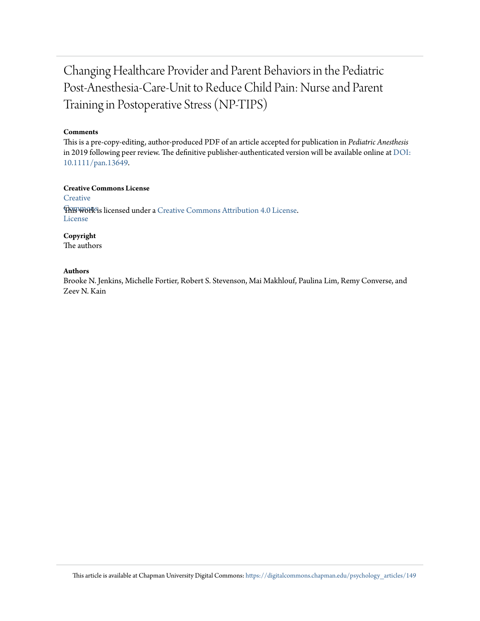# Changing Healthcare Provider and Parent Behaviors in the Pediatric Post‐Anesthesia‐Care‐Unit to Reduce Child Pain: Nurse and Parent Training in Postoperative Stress (NP‐TIPS)

#### **Comments**

This is a pre-copy-editing, author-produced PDF of an article accepted for publication in *Pediatric Anesthesis* in 2019 following peer review. The definitive publisher-authenticated version will be available online at [DOI:](https://doi.org/10.1111/pan.13649) [10.1111/pan.13649](https://doi.org/10.1111/pan.13649).

**Creative Commons License [Creative](https://creativecommons.org/licenses/by/4.0/) This work is licensed under a** [Creative Commons Attribution 4.0 License.](https://creativecommons.org/licenses/by/4.0/) License

**Copyright**

The authors

#### **Authors**

Brooke N. Jenkins, Michelle Fortier, Robert S. Stevenson, Mai Makhlouf, Paulina Lim, Remy Converse, and Zeev N. Kain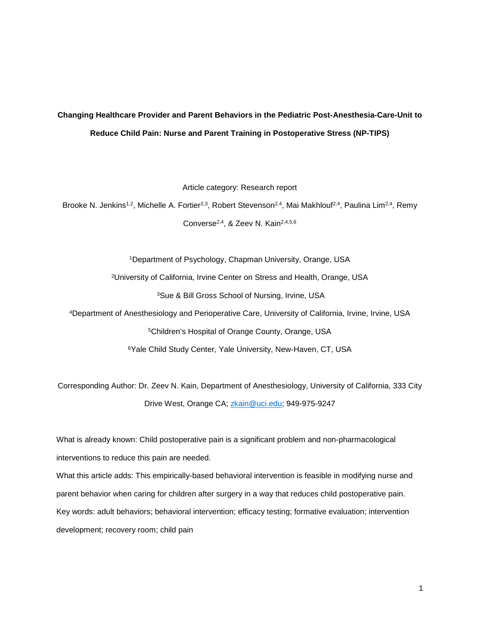# **Changing Healthcare Provider and Parent Behaviors in the Pediatric Post-Anesthesia-Care-Unit to Reduce Child Pain: Nurse and Parent Training in Postoperative Stress (NP-TIPS)**

Article category: Research report

Brooke N. Jenkins<sup>1,2</sup>, Michelle A. Fortier<sup>2,3</sup>, Robert Stevenson<sup>2,4</sup>, Mai Makhlouf<sup>2,4</sup>, Paulina Lim<sup>2,4</sup>, Remy Converse<sup>2,4</sup>, & Zeev N. Kain<sup>2,4,5,6</sup>

> 1Department of Psychology, Chapman University, Orange, USA 2University of California, Irvine Center on Stress and Health, Orange, USA 3Sue & Bill Gross School of Nursing, Irvine, USA

4Department of Anesthesiology and Perioperative Care, University of California, Irvine, Irvine, USA 5Children's Hospital of Orange County, Orange, USA 6Yale Child Study Center, Yale University, New-Haven, CT, USA

Corresponding Author: Dr. Zeev N. Kain, Department of Anesthesiology, University of California, 333 City Drive West, Orange CA; [zkain@uci.edu;](mailto:zkain@uci.edu) 949-975-9247

What is already known: Child postoperative pain is a significant problem and non-pharmacological interventions to reduce this pain are needed.

What this article adds: This empirically-based behavioral intervention is feasible in modifying nurse and parent behavior when caring for children after surgery in a way that reduces child postoperative pain. Key words: adult behaviors; behavioral intervention; efficacy testing; formative evaluation; intervention development; recovery room; child pain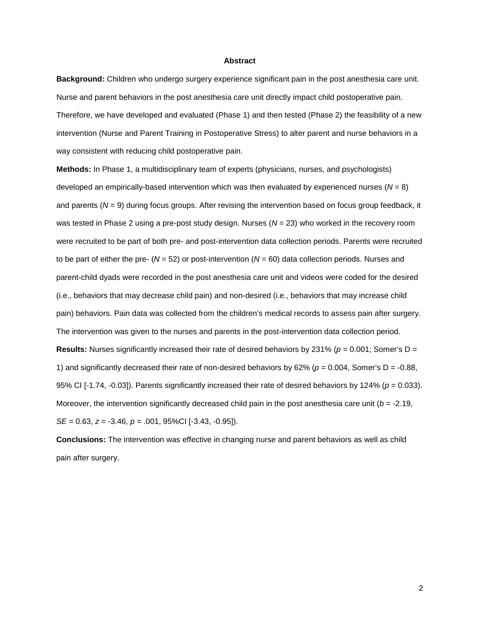#### **Abstract**

**Background:** Children who undergo surgery experience significant pain in the post anesthesia care unit. Nurse and parent behaviors in the post anesthesia care unit directly impact child postoperative pain. Therefore, we have developed and evaluated (Phase 1) and then tested (Phase 2) the feasibility of a new intervention (Nurse and Parent Training in Postoperative Stress) to alter parent and nurse behaviors in a way consistent with reducing child postoperative pain.

**Methods:** In Phase 1, a multidisciplinary team of experts (physicians, nurses, and psychologists) developed an empirically-based intervention which was then evaluated by experienced nurses (*N* = 8) and parents (*N* = 9) during focus groups. After revising the intervention based on focus group feedback, it was tested in Phase 2 using a pre-post study design. Nurses (*N* = 23) who worked in the recovery room were recruited to be part of both pre- and post-intervention data collection periods. Parents were recruited to be part of either the pre- (*N* = 52) or post-intervention (*N* = 60) data collection periods. Nurses and parent-child dyads were recorded in the post anesthesia care unit and videos were coded for the desired (i.e., behaviors that may decrease child pain) and non-desired (i.e., behaviors that may increase child pain) behaviors. Pain data was collected from the children's medical records to assess pain after surgery. The intervention was given to the nurses and parents in the post-intervention data collection period. **Results:** Nurses significantly increased their rate of desired behaviors by 231% ( $p = 0.001$ ; Somer's D = 1) and significantly decreased their rate of non-desired behaviors by 62% ( $p = 0.004$ , Somer's D = -0.88, 95% CI [-1.74, -0.03]). Parents significantly increased their rate of desired behaviors by 124% (*p* = 0.033). Moreover, the intervention significantly decreased child pain in the post anesthesia care unit (*b* = -2.19, *SE* = 0.63, *z* = -3.46, *p* = .001, 95%CI [-3.43, -0.95]).

**Conclusions:** The intervention was effective in changing nurse and parent behaviors as well as child pain after surgery.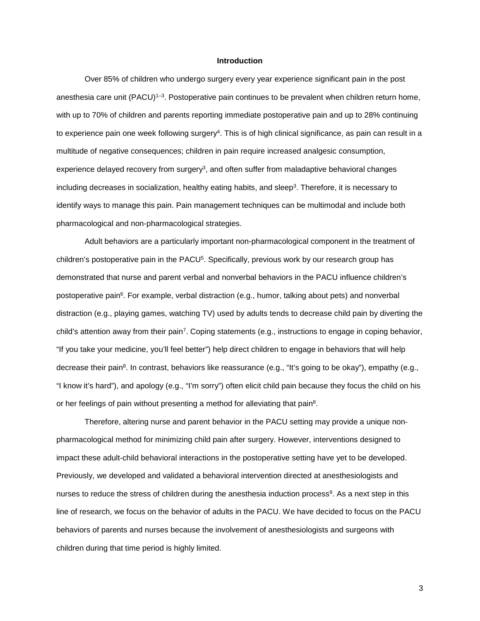#### **Introduction**

Over 85% of children who undergo surgery every year experience significant pain in the post anesthesia care unit (PACU)<sup>1–3</sup>. Postoperative pain continues to be prevalent when children return home, with up to 70% of children and parents reporting immediate postoperative pain and up to 28% continuing to experience pain one week following surgery4. This is of high clinical significance, as pain can result in a multitude of negative consequences; children in pain require increased analgesic consumption, experience delayed recovery from surgery<sup>3</sup>, and often suffer from maladaptive behavioral changes including decreases in socialization, healthy eating habits, and sleep<sup>3</sup>. Therefore, it is necessary to identify ways to manage this pain. Pain management techniques can be multimodal and include both pharmacological and non-pharmacological strategies.

Adult behaviors are a particularly important non-pharmacological component in the treatment of children's postoperative pain in the PACU5. Specifically, previous work by our research group has demonstrated that nurse and parent verbal and nonverbal behaviors in the PACU influence children's postoperative pain<sup>6</sup>. For example, verbal distraction (e.g., humor, talking about pets) and nonverbal distraction (e.g., playing games, watching TV) used by adults tends to decrease child pain by diverting the child's attention away from their pain7. Coping statements (e.g., instructions to engage in coping behavior, "If you take your medicine, you'll feel better") help direct children to engage in behaviors that will help decrease their pain8. In contrast, behaviors like reassurance (e.g., "It's going to be okay"), empathy (e.g., "I know it's hard"), and apology (e.g., "I'm sorry") often elicit child pain because they focus the child on his or her feelings of pain without presenting a method for alleviating that pain8.

Therefore, altering nurse and parent behavior in the PACU setting may provide a unique nonpharmacological method for minimizing child pain after surgery. However, interventions designed to impact these adult-child behavioral interactions in the postoperative setting have yet to be developed. Previously, we developed and validated a behavioral intervention directed at anesthesiologists and nurses to reduce the stress of children during the anesthesia induction process<sup>9</sup>. As a next step in this line of research, we focus on the behavior of adults in the PACU. We have decided to focus on the PACU behaviors of parents and nurses because the involvement of anesthesiologists and surgeons with children during that time period is highly limited.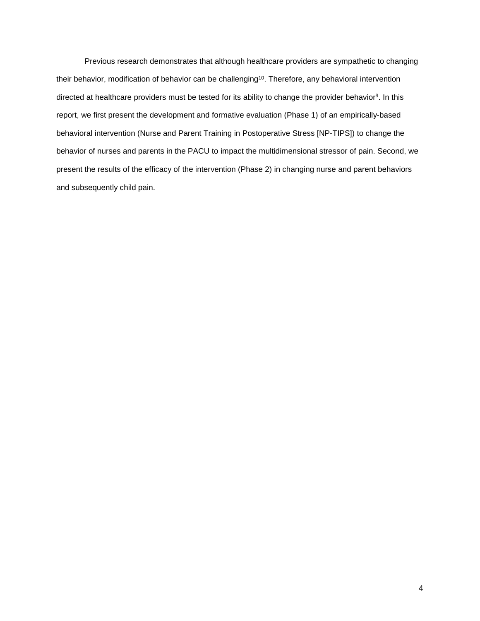Previous research demonstrates that although healthcare providers are sympathetic to changing their behavior, modification of behavior can be challenging<sup>10</sup>. Therefore, any behavioral intervention directed at healthcare providers must be tested for its ability to change the provider behavior<sup>9</sup>. In this report, we first present the development and formative evaluation (Phase 1) of an empirically-based behavioral intervention (Nurse and Parent Training in Postoperative Stress [NP-TIPS]) to change the behavior of nurses and parents in the PACU to impact the multidimensional stressor of pain. Second, we present the results of the efficacy of the intervention (Phase 2) in changing nurse and parent behaviors and subsequently child pain.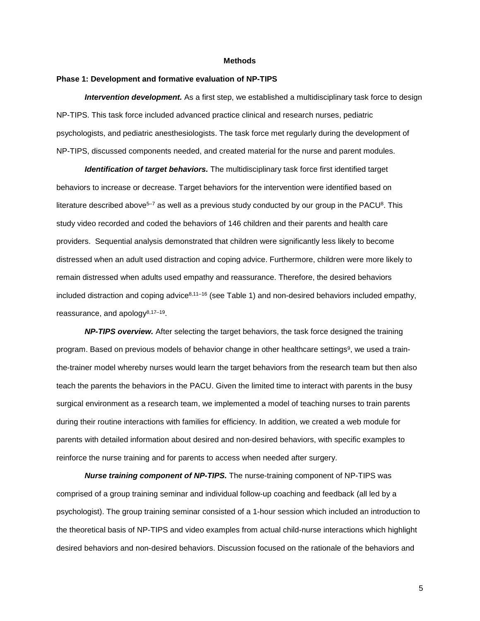#### **Methods**

#### **Phase 1: Development and formative evaluation of NP-TIPS**

*Intervention development.* As a first step, we established a multidisciplinary task force to design NP-TIPS. This task force included advanced practice clinical and research nurses, pediatric psychologists, and pediatric anesthesiologists. The task force met regularly during the development of NP-TIPS, discussed components needed, and created material for the nurse and parent modules.

*Identification of target behaviors.* The multidisciplinary task force first identified target behaviors to increase or decrease. Target behaviors for the intervention were identified based on literature described above<sup>5–7</sup> as well as a previous study conducted by our group in the PACU<sup>8</sup>. This study video recorded and coded the behaviors of 146 children and their parents and health care providers. Sequential analysis demonstrated that children were significantly less likely to become distressed when an adult used distraction and coping advice. Furthermore, children were more likely to remain distressed when adults used empathy and reassurance. Therefore, the desired behaviors included distraction and coping advice<sup>8,11–16</sup> (see Table 1) and non-desired behaviors included empathy, reassurance, and apology8,17–19.

*NP-TIPS overview.* After selecting the target behaviors, the task force designed the training program. Based on previous models of behavior change in other healthcare settings<sup>9</sup>, we used a trainthe-trainer model whereby nurses would learn the target behaviors from the research team but then also teach the parents the behaviors in the PACU. Given the limited time to interact with parents in the busy surgical environment as a research team, we implemented a model of teaching nurses to train parents during their routine interactions with families for efficiency. In addition, we created a web module for parents with detailed information about desired and non-desired behaviors, with specific examples to reinforce the nurse training and for parents to access when needed after surgery.

*Nurse training component of NP-TIPS.* The nurse-training component of NP-TIPS was comprised of a group training seminar and individual follow-up coaching and feedback (all led by a psychologist). The group training seminar consisted of a 1-hour session which included an introduction to the theoretical basis of NP-TIPS and video examples from actual child-nurse interactions which highlight desired behaviors and non-desired behaviors. Discussion focused on the rationale of the behaviors and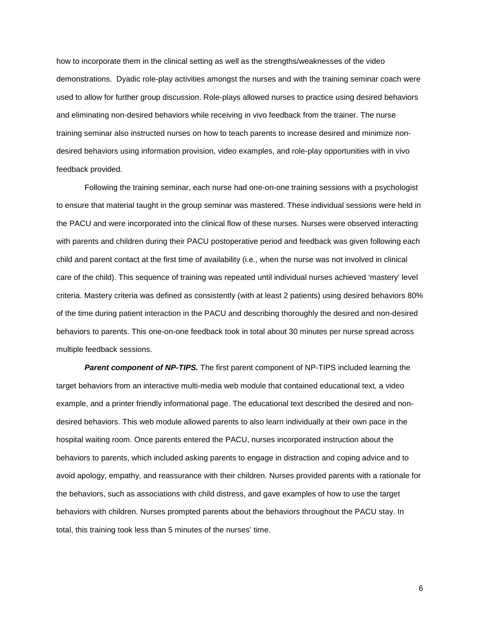how to incorporate them in the clinical setting as well as the strengths/weaknesses of the video demonstrations. Dyadic role-play activities amongst the nurses and with the training seminar coach were used to allow for further group discussion. Role-plays allowed nurses to practice using desired behaviors and eliminating non-desired behaviors while receiving in vivo feedback from the trainer. The nurse training seminar also instructed nurses on how to teach parents to increase desired and minimize nondesired behaviors using information provision, video examples, and role-play opportunities with in vivo feedback provided.

Following the training seminar, each nurse had one-on-one training sessions with a psychologist to ensure that material taught in the group seminar was mastered. These individual sessions were held in the PACU and were incorporated into the clinical flow of these nurses. Nurses were observed interacting with parents and children during their PACU postoperative period and feedback was given following each child and parent contact at the first time of availability (i.e., when the nurse was not involved in clinical care of the child). This sequence of training was repeated until individual nurses achieved 'mastery' level criteria. Mastery criteria was defined as consistently (with at least 2 patients) using desired behaviors 80% of the time during patient interaction in the PACU and describing thoroughly the desired and non-desired behaviors to parents. This one-on-one feedback took in total about 30 minutes per nurse spread across multiple feedback sessions.

**Parent component of NP-TIPS.** The first parent component of NP-TIPS included learning the target behaviors from an interactive multi-media web module that contained educational text, a video example, and a printer friendly informational page. The educational text described the desired and nondesired behaviors. This web module allowed parents to also learn individually at their own pace in the hospital waiting room. Once parents entered the PACU, nurses incorporated instruction about the behaviors to parents, which included asking parents to engage in distraction and coping advice and to avoid apology, empathy, and reassurance with their children. Nurses provided parents with a rationale for the behaviors, such as associations with child distress, and gave examples of how to use the target behaviors with children. Nurses prompted parents about the behaviors throughout the PACU stay. In total, this training took less than 5 minutes of the nurses' time.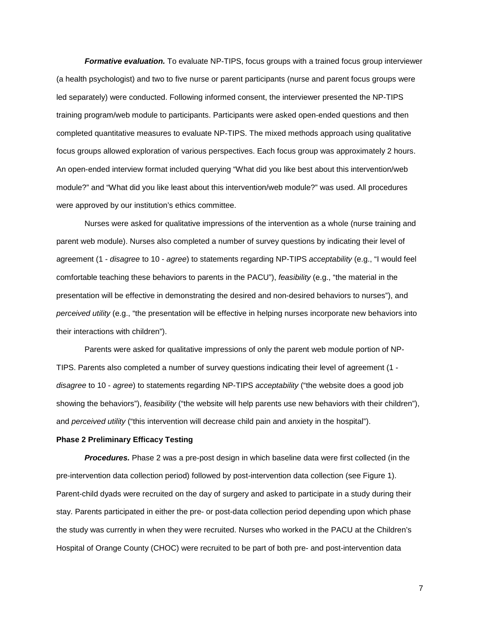*Formative evaluation.* To evaluate NP-TIPS, focus groups with a trained focus group interviewer (a health psychologist) and two to five nurse or parent participants (nurse and parent focus groups were led separately) were conducted. Following informed consent, the interviewer presented the NP-TIPS training program/web module to participants. Participants were asked open-ended questions and then completed quantitative measures to evaluate NP-TIPS. The mixed methods approach using qualitative focus groups allowed exploration of various perspectives. Each focus group was approximately 2 hours. An open-ended interview format included querying "What did you like best about this intervention/web module?" and "What did you like least about this intervention/web module?" was used. All procedures were approved by our institution's ethics committee.

Nurses were asked for qualitative impressions of the intervention as a whole (nurse training and parent web module). Nurses also completed a number of survey questions by indicating their level of agreement (1 - *disagree* to 10 - *agree*) to statements regarding NP-TIPS *acceptability* (e.g., "I would feel comfortable teaching these behaviors to parents in the PACU"), *feasibility* (e.g., "the material in the presentation will be effective in demonstrating the desired and non-desired behaviors to nurses"), and *perceived utility* (e.g., "the presentation will be effective in helping nurses incorporate new behaviors into their interactions with children").

Parents were asked for qualitative impressions of only the parent web module portion of NP-TIPS. Parents also completed a number of survey questions indicating their level of agreement (1 *disagree* to 10 - *agree*) to statements regarding NP-TIPS *acceptability* ("the website does a good job showing the behaviors"), *feasibility* ("the website will help parents use new behaviors with their children"), and *perceived utility* ("this intervention will decrease child pain and anxiety in the hospital").

#### **Phase 2 Preliminary Efficacy Testing**

*Procedures.* Phase 2 was a pre-post design in which baseline data were first collected (in the pre-intervention data collection period) followed by post-intervention data collection (see Figure 1). Parent-child dyads were recruited on the day of surgery and asked to participate in a study during their stay. Parents participated in either the pre- or post-data collection period depending upon which phase the study was currently in when they were recruited. Nurses who worked in the PACU at the Children's Hospital of Orange County (CHOC) were recruited to be part of both pre- and post-intervention data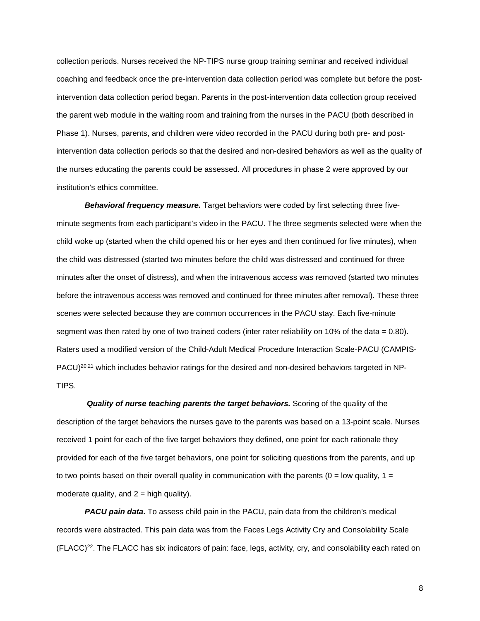collection periods. Nurses received the NP-TIPS nurse group training seminar and received individual coaching and feedback once the pre-intervention data collection period was complete but before the postintervention data collection period began. Parents in the post-intervention data collection group received the parent web module in the waiting room and training from the nurses in the PACU (both described in Phase 1). Nurses, parents, and children were video recorded in the PACU during both pre- and postintervention data collection periods so that the desired and non-desired behaviors as well as the quality of the nurses educating the parents could be assessed. All procedures in phase 2 were approved by our institution's ethics committee.

*Behavioral frequency measure.* Target behaviors were coded by first selecting three fiveminute segments from each participant's video in the PACU. The three segments selected were when the child woke up (started when the child opened his or her eyes and then continued for five minutes), when the child was distressed (started two minutes before the child was distressed and continued for three minutes after the onset of distress), and when the intravenous access was removed (started two minutes before the intravenous access was removed and continued for three minutes after removal). These three scenes were selected because they are common occurrences in the PACU stay. Each five-minute segment was then rated by one of two trained coders (inter rater reliability on 10% of the data = 0.80). Raters used a modified version of the Child-Adult Medical Procedure Interaction Scale-PACU (CAMPIS-PACU)<sup>20,21</sup> which includes behavior ratings for the desired and non-desired behaviors targeted in NP-TIPS.

*Quality of nurse teaching parents the target behaviors.* Scoring of the quality of the description of the target behaviors the nurses gave to the parents was based on a 13-point scale. Nurses received 1 point for each of the five target behaviors they defined, one point for each rationale they provided for each of the five target behaviors, one point for soliciting questions from the parents, and up to two points based on their overall quality in communication with the parents ( $0 =$  low quality,  $1 =$ moderate quality, and  $2 =$  high quality).

*PACU pain data***.** To assess child pain in the PACU, pain data from the children's medical records were abstracted. This pain data was from the Faces Legs Activity Cry and Consolability Scale (FLACC)22. The FLACC has six indicators of pain: face, legs, activity, cry, and consolability each rated on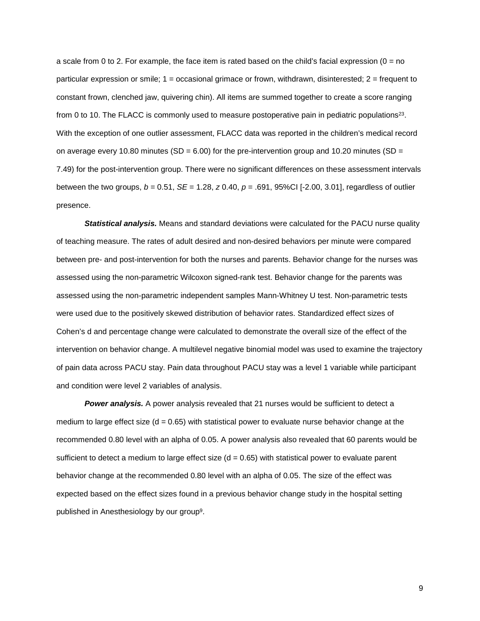a scale from 0 to 2. For example, the face item is rated based on the child's facial expression ( $0 = no$ particular expression or smile; 1 = occasional grimace or frown, withdrawn, disinterested; 2 = frequent to constant frown, clenched jaw, quivering chin). All items are summed together to create a score ranging from 0 to 10. The FLACC is commonly used to measure postoperative pain in pediatric populations23. With the exception of one outlier assessment, FLACC data was reported in the children's medical record on average every 10.80 minutes (SD =  $6.00$ ) for the pre-intervention group and 10.20 minutes (SD = 7.49) for the post-intervention group. There were no significant differences on these assessment intervals between the two groups, *b* = 0.51, *SE* = 1.28, *z* 0.40, *p* = .691, 95%CI [-2.00, 3.01], regardless of outlier presence.

*Statistical analysis.* Means and standard deviations were calculated for the PACU nurse quality of teaching measure. The rates of adult desired and non-desired behaviors per minute were compared between pre- and post-intervention for both the nurses and parents. Behavior change for the nurses was assessed using the non-parametric Wilcoxon signed-rank test. Behavior change for the parents was assessed using the non-parametric independent samples Mann-Whitney U test. Non-parametric tests were used due to the positively skewed distribution of behavior rates. Standardized effect sizes of Cohen's d and percentage change were calculated to demonstrate the overall size of the effect of the intervention on behavior change. A multilevel negative binomial model was used to examine the trajectory of pain data across PACU stay. Pain data throughout PACU stay was a level 1 variable while participant and condition were level 2 variables of analysis.

**Power analysis.** A power analysis revealed that 21 nurses would be sufficient to detect a medium to large effect size  $(d = 0.65)$  with statistical power to evaluate nurse behavior change at the recommended 0.80 level with an alpha of 0.05. A power analysis also revealed that 60 parents would be sufficient to detect a medium to large effect size  $(d = 0.65)$  with statistical power to evaluate parent behavior change at the recommended 0.80 level with an alpha of 0.05. The size of the effect was expected based on the effect sizes found in a previous behavior change study in the hospital setting published in Anesthesiology by our group9.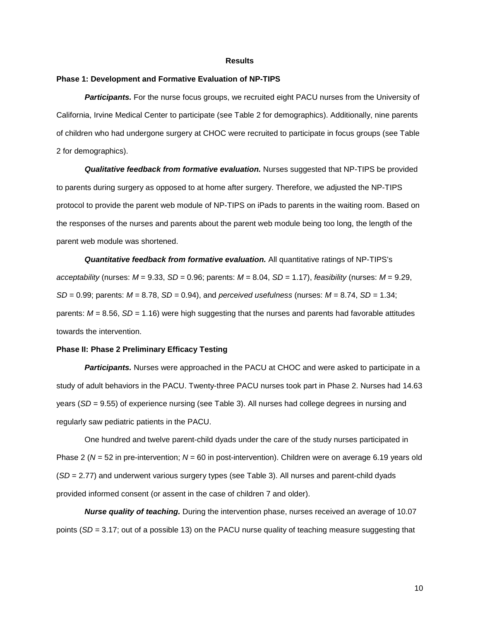#### **Results**

#### **Phase 1: Development and Formative Evaluation of NP-TIPS**

**Participants.** For the nurse focus groups, we recruited eight PACU nurses from the University of California, Irvine Medical Center to participate (see Table 2 for demographics). Additionally, nine parents of children who had undergone surgery at CHOC were recruited to participate in focus groups (see Table 2 for demographics).

*Qualitative feedback from formative evaluation.* Nurses suggested that NP-TIPS be provided to parents during surgery as opposed to at home after surgery. Therefore, we adjusted the NP-TIPS protocol to provide the parent web module of NP-TIPS on iPads to parents in the waiting room. Based on the responses of the nurses and parents about the parent web module being too long, the length of the parent web module was shortened.

*Quantitative feedback from formative evaluation.* All quantitative ratings of NP-TIPS's *acceptability* (nurses: *M* = 9.33, *SD* = 0.96; parents: *M* = 8.04, *SD* = 1.17), *feasibility* (nurses: *M* = 9.29, *SD* = 0.99; parents: *M* = 8.78, *SD* = 0.94), and *perceived usefulness* (nurses: *M* = 8.74, *SD* = 1.34; parents: *M* = 8.56, *SD* = 1.16) were high suggesting that the nurses and parents had favorable attitudes towards the intervention.

#### **Phase II: Phase 2 Preliminary Efficacy Testing**

*Participants.* Nurses were approached in the PACU at CHOC and were asked to participate in a study of adult behaviors in the PACU. Twenty-three PACU nurses took part in Phase 2. Nurses had 14.63 years (*SD* = 9.55) of experience nursing (see Table 3). All nurses had college degrees in nursing and regularly saw pediatric patients in the PACU.

One hundred and twelve parent-child dyads under the care of the study nurses participated in Phase 2 (*N* = 52 in pre-intervention; *N* = 60 in post-intervention). Children were on average 6.19 years old (*SD* = 2.77) and underwent various surgery types (see Table 3). All nurses and parent-child dyads provided informed consent (or assent in the case of children 7 and older).

*Nurse quality of teaching.* During the intervention phase, nurses received an average of 10.07 points (*SD* = 3.17; out of a possible 13) on the PACU nurse quality of teaching measure suggesting that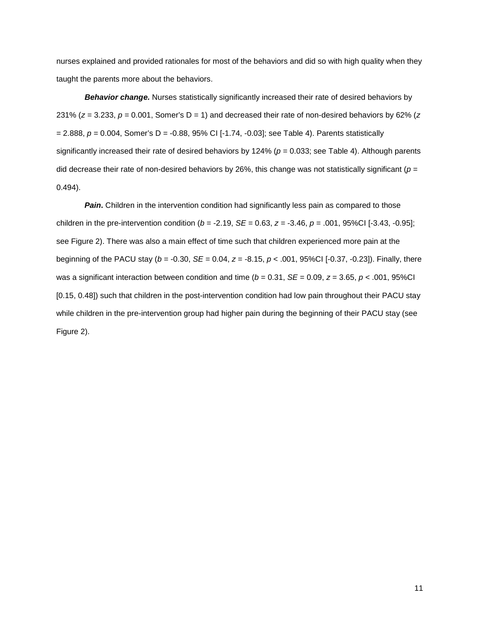nurses explained and provided rationales for most of the behaviors and did so with high quality when they taught the parents more about the behaviors.

**Behavior change.** Nurses statistically significantly increased their rate of desired behaviors by 231% ( $z = 3.233$ ,  $p = 0.001$ , Somer's  $D = 1$ ) and decreased their rate of non-desired behaviors by 62% ( $z = 3.233$ ,  $p = 0.001$ , Somer's  $D = 1$ ) and decreased their rate of non-desired behaviors by 62% ( $z = 0.001$ = 2.888, *p* = 0.004, Somer's D = -0.88, 95% CI [-1.74, -0.03]; see Table 4). Parents statistically significantly increased their rate of desired behaviors by 124% ( $p = 0.033$ ; see Table 4). Although parents did decrease their rate of non-desired behaviors by 26%, this change was not statistically significant (*p* = 0.494).

**Pain.** Children in the intervention condition had significantly less pain as compared to those children in the pre-intervention condition (*b* = -2.19, *SE* = 0.63, *z* = -3.46, *p* = .001, 95%CI [-3.43, -0.95]; see Figure 2). There was also a main effect of time such that children experienced more pain at the beginning of the PACU stay (*b* = -0.30, *SE* = 0.04, *z* = -8.15, *p* < .001, 95%CI [-0.37, -0.23]). Finally, there was a significant interaction between condition and time ( $b = 0.31$ ,  $SE = 0.09$ ,  $z = 3.65$ ,  $p < .001$ , 95%Cl [0.15, 0.48]) such that children in the post-intervention condition had low pain throughout their PACU stay while children in the pre-intervention group had higher pain during the beginning of their PACU stay (see Figure 2).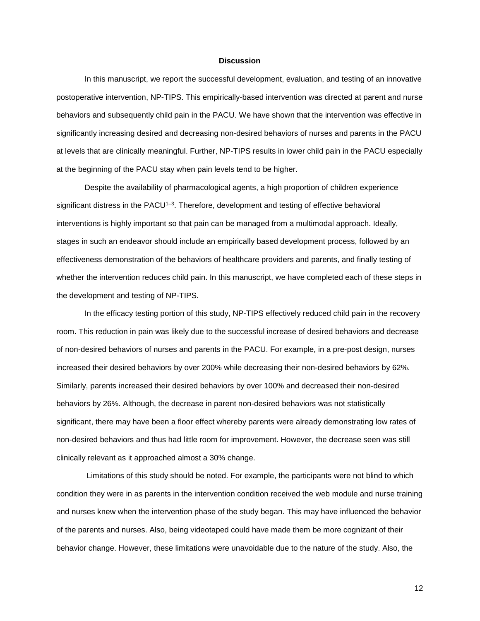#### **Discussion**

In this manuscript, we report the successful development, evaluation, and testing of an innovative postoperative intervention, NP-TIPS. This empirically-based intervention was directed at parent and nurse behaviors and subsequently child pain in the PACU. We have shown that the intervention was effective in significantly increasing desired and decreasing non-desired behaviors of nurses and parents in the PACU at levels that are clinically meaningful. Further, NP-TIPS results in lower child pain in the PACU especially at the beginning of the PACU stay when pain levels tend to be higher.

Despite the availability of pharmacological agents, a high proportion of children experience significant distress in the PACU<sup>1-3</sup>. Therefore, development and testing of effective behavioral interventions is highly important so that pain can be managed from a multimodal approach. Ideally, stages in such an endeavor should include an empirically based development process, followed by an effectiveness demonstration of the behaviors of healthcare providers and parents, and finally testing of whether the intervention reduces child pain. In this manuscript, we have completed each of these steps in the development and testing of NP-TIPS.

In the efficacy testing portion of this study, NP-TIPS effectively reduced child pain in the recovery room. This reduction in pain was likely due to the successful increase of desired behaviors and decrease of non-desired behaviors of nurses and parents in the PACU. For example, in a pre-post design, nurses increased their desired behaviors by over 200% while decreasing their non-desired behaviors by 62%. Similarly, parents increased their desired behaviors by over 100% and decreased their non-desired behaviors by 26%. Although, the decrease in parent non-desired behaviors was not statistically significant, there may have been a floor effect whereby parents were already demonstrating low rates of non-desired behaviors and thus had little room for improvement. However, the decrease seen was still clinically relevant as it approached almost a 30% change.

Limitations of this study should be noted. For example, the participants were not blind to which condition they were in as parents in the intervention condition received the web module and nurse training and nurses knew when the intervention phase of the study began. This may have influenced the behavior of the parents and nurses. Also, being videotaped could have made them be more cognizant of their behavior change. However, these limitations were unavoidable due to the nature of the study. Also, the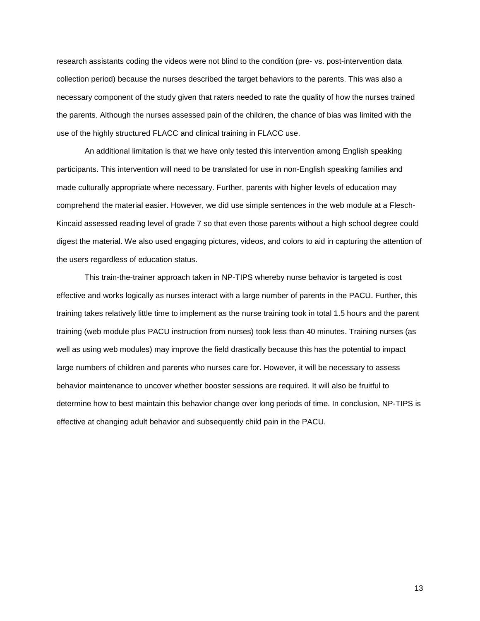research assistants coding the videos were not blind to the condition (pre- vs. post-intervention data collection period) because the nurses described the target behaviors to the parents. This was also a necessary component of the study given that raters needed to rate the quality of how the nurses trained the parents. Although the nurses assessed pain of the children, the chance of bias was limited with the use of the highly structured FLACC and clinical training in FLACC use.

An additional limitation is that we have only tested this intervention among English speaking participants. This intervention will need to be translated for use in non-English speaking families and made culturally appropriate where necessary. Further, parents with higher levels of education may comprehend the material easier. However, we did use simple sentences in the web module at a Flesch-Kincaid assessed reading level of grade 7 so that even those parents without a high school degree could digest the material. We also used engaging pictures, videos, and colors to aid in capturing the attention of the users regardless of education status.

This train-the-trainer approach taken in NP-TIPS whereby nurse behavior is targeted is cost effective and works logically as nurses interact with a large number of parents in the PACU. Further, this training takes relatively little time to implement as the nurse training took in total 1.5 hours and the parent training (web module plus PACU instruction from nurses) took less than 40 minutes. Training nurses (as well as using web modules) may improve the field drastically because this has the potential to impact large numbers of children and parents who nurses care for. However, it will be necessary to assess behavior maintenance to uncover whether booster sessions are required. It will also be fruitful to determine how to best maintain this behavior change over long periods of time. In conclusion, NP-TIPS is effective at changing adult behavior and subsequently child pain in the PACU.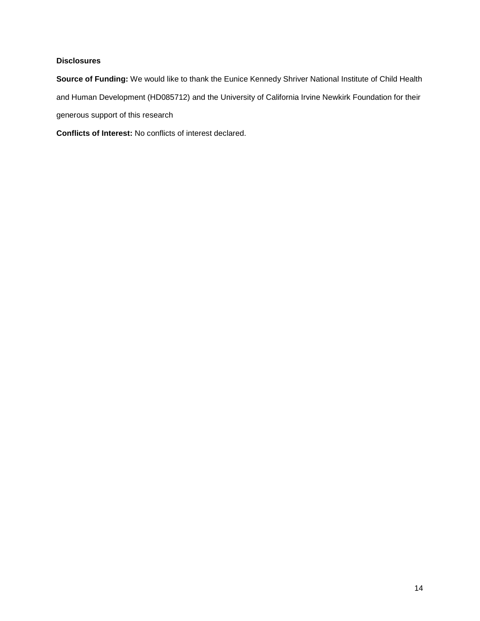### **Disclosures**

**Source of Funding:** We would like to thank the Eunice Kennedy Shriver National Institute of Child Health and Human Development (HD085712) and the University of California Irvine Newkirk Foundation for their generous support of this research

**Conflicts of Interest:** No conflicts of interest declared.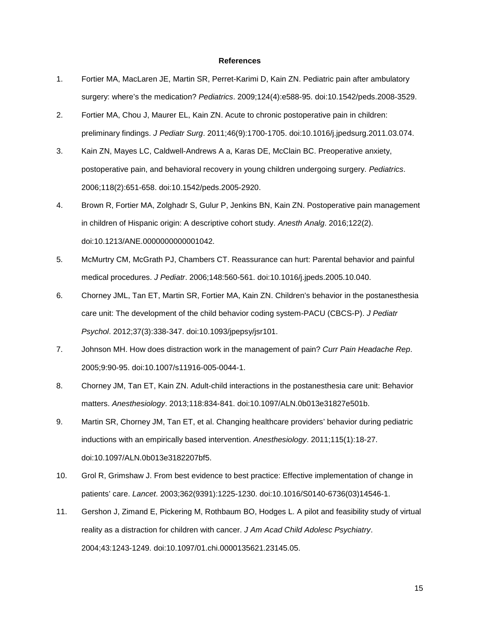#### **References**

- 1. Fortier MA, MacLaren JE, Martin SR, Perret-Karimi D, Kain ZN. Pediatric pain after ambulatory surgery: where's the medication? *Pediatrics*. 2009;124(4):e588-95. doi:10.1542/peds.2008-3529.
- 2. Fortier MA, Chou J, Maurer EL, Kain ZN. Acute to chronic postoperative pain in children: preliminary findings. *J Pediatr Surg*. 2011;46(9):1700-1705. doi:10.1016/j.jpedsurg.2011.03.074.
- 3. Kain ZN, Mayes LC, Caldwell-Andrews A a, Karas DE, McClain BC. Preoperative anxiety, postoperative pain, and behavioral recovery in young children undergoing surgery. *Pediatrics*. 2006;118(2):651-658. doi:10.1542/peds.2005-2920.
- 4. Brown R, Fortier MA, Zolghadr S, Gulur P, Jenkins BN, Kain ZN. Postoperative pain management in children of Hispanic origin: A descriptive cohort study. *Anesth Analg*. 2016;122(2). doi:10.1213/ANE.0000000000001042.
- 5. McMurtry CM, McGrath PJ, Chambers CT. Reassurance can hurt: Parental behavior and painful medical procedures. *J Pediatr*. 2006;148:560-561. doi:10.1016/j.jpeds.2005.10.040.
- 6. Chorney JML, Tan ET, Martin SR, Fortier MA, Kain ZN. Children's behavior in the postanesthesia care unit: The development of the child behavior coding system-PACU (CBCS-P). *J Pediatr Psychol*. 2012;37(3):338-347. doi:10.1093/jpepsy/jsr101.
- 7. Johnson MH. How does distraction work in the management of pain? *Curr Pain Headache Rep*. 2005;9:90-95. doi:10.1007/s11916-005-0044-1.
- 8. Chorney JM, Tan ET, Kain ZN. Adult-child interactions in the postanesthesia care unit: Behavior matters. *Anesthesiology*. 2013;118:834-841. doi:10.1097/ALN.0b013e31827e501b.
- 9. Martin SR, Chorney JM, Tan ET, et al. Changing healthcare providers' behavior during pediatric inductions with an empirically based intervention. *Anesthesiology*. 2011;115(1):18-27. doi:10.1097/ALN.0b013e3182207bf5.
- 10. Grol R, Grimshaw J. From best evidence to best practice: Effective implementation of change in patients' care. *Lancet*. 2003;362(9391):1225-1230. doi:10.1016/S0140-6736(03)14546-1.
- 11. Gershon J, Zimand E, Pickering M, Rothbaum BO, Hodges L. A pilot and feasibility study of virtual reality as a distraction for children with cancer. *J Am Acad Child Adolesc Psychiatry*. 2004;43:1243-1249. doi:10.1097/01.chi.0000135621.23145.05.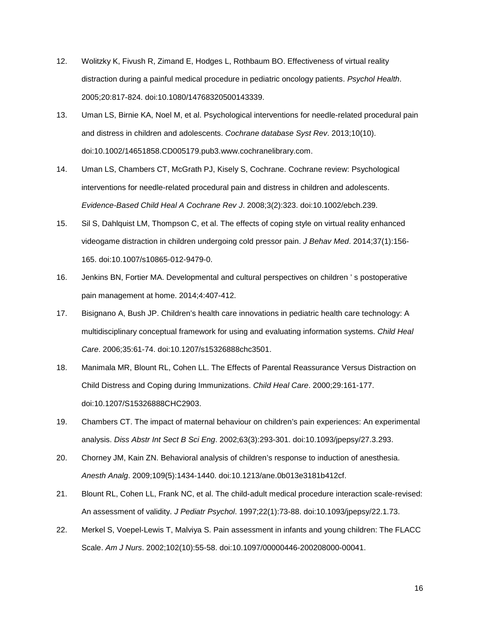- 12. Wolitzky K, Fivush R, Zimand E, Hodges L, Rothbaum BO. Effectiveness of virtual reality distraction during a painful medical procedure in pediatric oncology patients. *Psychol Health*. 2005;20:817-824. doi:10.1080/14768320500143339.
- 13. Uman LS, Birnie KA, Noel M, et al. Psychological interventions for needle-related procedural pain and distress in children and adolescents. *Cochrane database Syst Rev*. 2013;10(10). doi:10.1002/14651858.CD005179.pub3.www.cochranelibrary.com.
- 14. Uman LS, Chambers CT, McGrath PJ, Kisely S, Cochrane. Cochrane review: Psychological interventions for needle-related procedural pain and distress in children and adolescents. *Evidence-Based Child Heal A Cochrane Rev J*. 2008;3(2):323. doi:10.1002/ebch.239.
- 15. Sil S, Dahlquist LM, Thompson C, et al. The effects of coping style on virtual reality enhanced videogame distraction in children undergoing cold pressor pain. *J Behav Med*. 2014;37(1):156- 165. doi:10.1007/s10865-012-9479-0.
- 16. Jenkins BN, Fortier MA. Developmental and cultural perspectives on children ' s postoperative pain management at home. 2014;4:407-412.
- 17. Bisignano A, Bush JP. Children's health care innovations in pediatric health care technology: A multidisciplinary conceptual framework for using and evaluating information systems. *Child Heal Care*. 2006;35:61-74. doi:10.1207/s15326888chc3501.
- 18. Manimala MR, Blount RL, Cohen LL. The Effects of Parental Reassurance Versus Distraction on Child Distress and Coping during Immunizations. *Child Heal Care*. 2000;29:161-177. doi:10.1207/S15326888CHC2903.
- 19. Chambers CT. The impact of maternal behaviour on children's pain experiences: An experimental analysis. *Diss Abstr Int Sect B Sci Eng*. 2002;63(3):293-301. doi:10.1093/jpepsy/27.3.293.
- 20. Chorney JM, Kain ZN. Behavioral analysis of children's response to induction of anesthesia. *Anesth Analg*. 2009;109(5):1434-1440. doi:10.1213/ane.0b013e3181b412cf.
- 21. Blount RL, Cohen LL, Frank NC, et al. The child-adult medical procedure interaction scale-revised: An assessment of validity. *J Pediatr Psychol*. 1997;22(1):73-88. doi:10.1093/jpepsy/22.1.73.
- 22. Merkel S, Voepel-Lewis T, Malviya S. Pain assessment in infants and young children: The FLACC Scale. *Am J Nurs*. 2002;102(10):55-58. doi:10.1097/00000446-200208000-00041.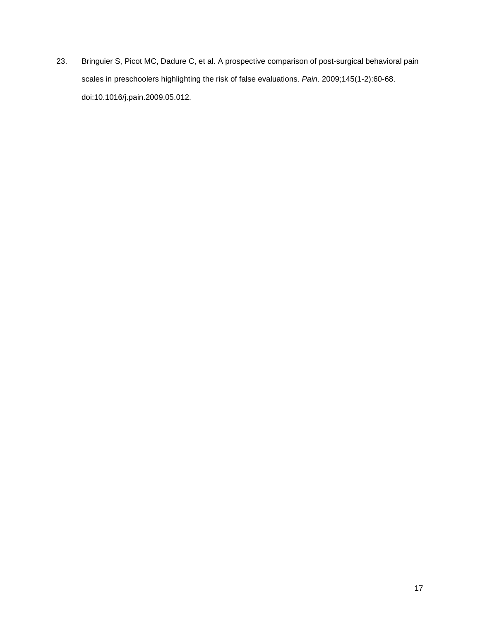23. Bringuier S, Picot MC, Dadure C, et al. A prospective comparison of post-surgical behavioral pain scales in preschoolers highlighting the risk of false evaluations. *Pain*. 2009;145(1-2):60-68. doi:10.1016/j.pain.2009.05.012.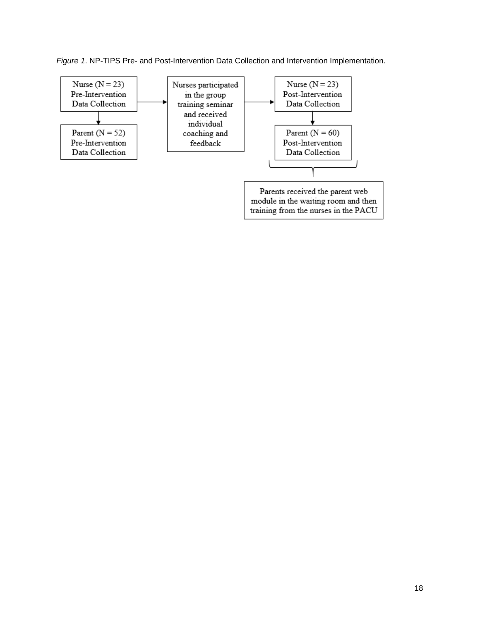*Figure 1*. NP-TIPS Pre- and Post-Intervention Data Collection and Intervention Implementation.

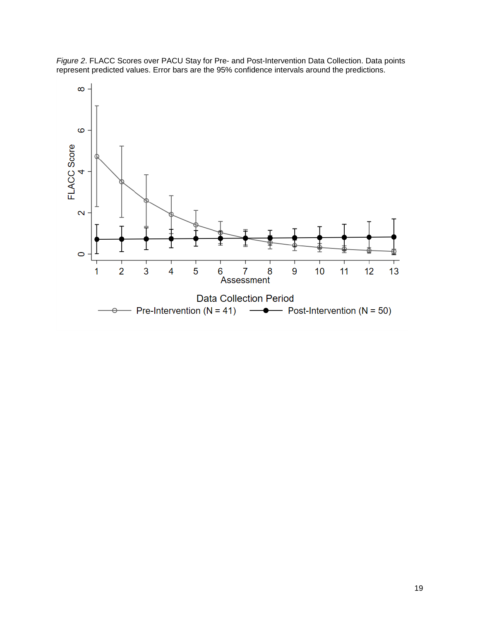

*Figure 2*. FLACC Scores over PACU Stay for Pre- and Post-Intervention Data Collection. Data points represent predicted values. Error bars are the 95% confidence intervals around the predictions.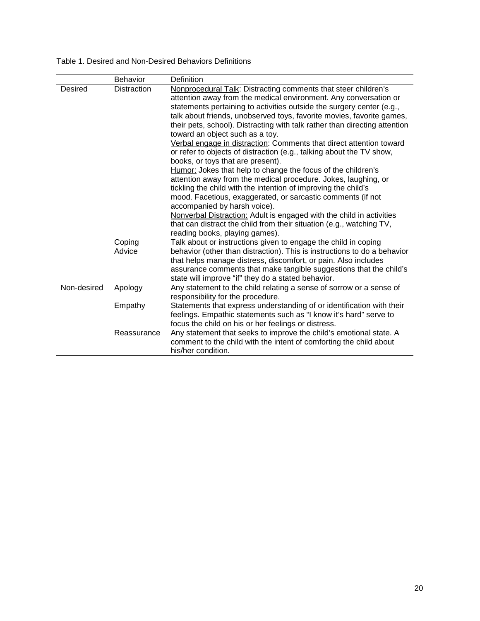|  |  | Table 1. Desired and Non-Desired Behaviors Definitions |  |  |
|--|--|--------------------------------------------------------|--|--|
|--|--|--------------------------------------------------------|--|--|

|             | Behavior           | <b>Definition</b>                                                                                                                                                                                                                                                                                                                                                                                                                                                                                                                                                                                                                                                                                                                                                                                                                                                                                                                                                                                                                                                              |
|-------------|--------------------|--------------------------------------------------------------------------------------------------------------------------------------------------------------------------------------------------------------------------------------------------------------------------------------------------------------------------------------------------------------------------------------------------------------------------------------------------------------------------------------------------------------------------------------------------------------------------------------------------------------------------------------------------------------------------------------------------------------------------------------------------------------------------------------------------------------------------------------------------------------------------------------------------------------------------------------------------------------------------------------------------------------------------------------------------------------------------------|
| Desired     | <b>Distraction</b> | Nonprocedural Talk: Distracting comments that steer children's<br>attention away from the medical environment. Any conversation or<br>statements pertaining to activities outside the surgery center (e.g.,<br>talk about friends, unobserved toys, favorite movies, favorite games,<br>their pets, school). Distracting with talk rather than directing attention<br>toward an object such as a toy.<br>Verbal engage in distraction: Comments that direct attention toward<br>or refer to objects of distraction (e.g., talking about the TV show,<br>books, or toys that are present).<br>Humor: Jokes that help to change the focus of the children's<br>attention away from the medical procedure. Jokes, laughing, or<br>tickling the child with the intention of improving the child's<br>mood. Facetious, exaggerated, or sarcastic comments (if not<br>accompanied by harsh voice).<br>Nonverbal Distraction: Adult is engaged with the child in activities<br>that can distract the child from their situation (e.g., watching TV,<br>reading books, playing games). |
|             | Coping<br>Advice   | Talk about or instructions given to engage the child in coping<br>behavior (other than distraction). This is instructions to do a behavior<br>that helps manage distress, discomfort, or pain. Also includes<br>assurance comments that make tangible suggestions that the child's<br>state will improve "if" they do a stated behavior.                                                                                                                                                                                                                                                                                                                                                                                                                                                                                                                                                                                                                                                                                                                                       |
| Non-desired | Apology            | Any statement to the child relating a sense of sorrow or a sense of<br>responsibility for the procedure.                                                                                                                                                                                                                                                                                                                                                                                                                                                                                                                                                                                                                                                                                                                                                                                                                                                                                                                                                                       |
|             | Empathy            | Statements that express understanding of or identification with their<br>feelings. Empathic statements such as "I know it's hard" serve to<br>focus the child on his or her feelings or distress.                                                                                                                                                                                                                                                                                                                                                                                                                                                                                                                                                                                                                                                                                                                                                                                                                                                                              |
|             | Reassurance        | Any statement that seeks to improve the child's emotional state. A<br>comment to the child with the intent of comforting the child about<br>his/her condition.                                                                                                                                                                                                                                                                                                                                                                                                                                                                                                                                                                                                                                                                                                                                                                                                                                                                                                                 |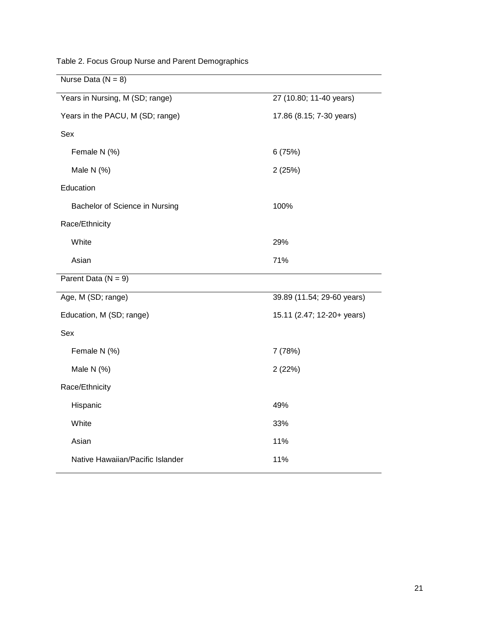| Nurse Data ( $N = 8$ )           |                            |
|----------------------------------|----------------------------|
| Years in Nursing, M (SD; range)  | 27 (10.80; 11-40 years)    |
| Years in the PACU, M (SD; range) | 17.86 (8.15; 7-30 years)   |
| Sex                              |                            |
| Female N (%)                     | 6(75%)                     |
| Male N $(%)$                     | 2(25%)                     |
| Education                        |                            |
| Bachelor of Science in Nursing   | 100%                       |
| Race/Ethnicity                   |                            |
| White                            | 29%                        |
| Asian                            | 71%                        |
| Parent Data $(N = 9)$            |                            |
| Age, M (SD; range)               | 39.89 (11.54; 29-60 years) |
| Education, M (SD; range)         | 15.11 (2.47; 12-20+ years) |
| Sex                              |                            |
|                                  |                            |
| Female N (%)                     | 7 (78%)                    |
| Male N $(%)$                     | 2(22%)                     |
| Race/Ethnicity                   |                            |
| Hispanic                         | 49%                        |
| White                            | 33%                        |
| Asian                            | 11%                        |
| Native Hawaiian/Pacific Islander | 11%                        |

Table 2. Focus Group Nurse and Parent Demographics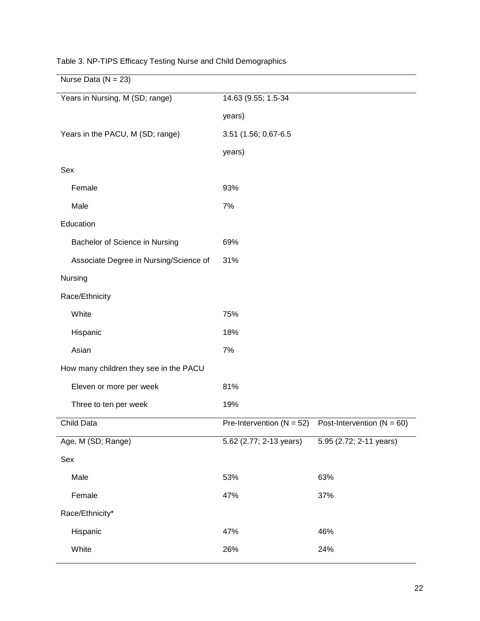| Nurse Data ( $N = 23$ )                |                               |                                |
|----------------------------------------|-------------------------------|--------------------------------|
| Years in Nursing, M (SD; range)        | 14.63 (9.55; 1.5-34           |                                |
|                                        | years)                        |                                |
| Years in the PACU, M (SD; range)       | 3.51 (1.56; 0.67-6.5          |                                |
|                                        | years)                        |                                |
| Sex                                    |                               |                                |
| Female                                 | 93%                           |                                |
| Male                                   | 7%                            |                                |
| Education                              |                               |                                |
| Bachelor of Science in Nursing         | 69%                           |                                |
| Associate Degree in Nursing/Science of | 31%                           |                                |
| Nursing                                |                               |                                |
| Race/Ethnicity                         |                               |                                |
| White                                  | 75%                           |                                |
| Hispanic                               | 18%                           |                                |
| Asian                                  | 7%                            |                                |
| How many children they see in the PACU |                               |                                |
| Eleven or more per week                | 81%                           |                                |
| Three to ten per week                  | 19%                           |                                |
| Child Data                             | Pre-Intervention ( $N = 52$ ) | Post-Intervention ( $N = 60$ ) |
| Age, M (SD; Range)                     | 5.62 (2.77; 2-13 years)       | 5.95 (2.72; 2-11 years)        |
| Sex                                    |                               |                                |
| Male                                   | 53%                           | 63%                            |
| Female                                 | 47%                           | 37%                            |
| Race/Ethnicity*                        |                               |                                |
| Hispanic                               | 47%                           | 46%                            |
| White                                  | 26%                           | 24%                            |

Table 3. NP-TIPS Efficacy Testing Nurse and Child Demographics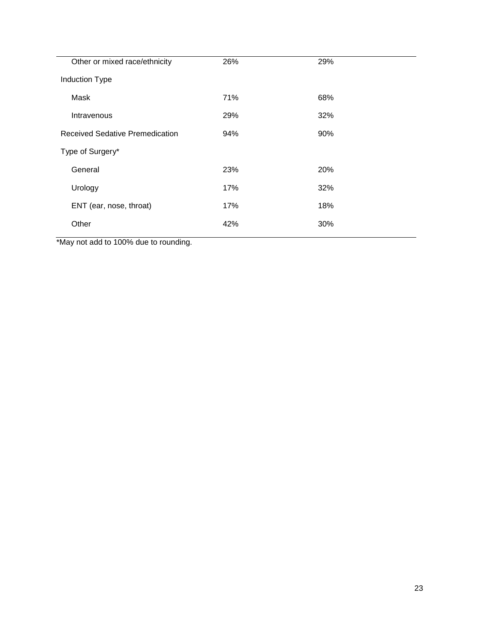| Other or mixed race/ethnicity          | 26% | 29%        |
|----------------------------------------|-----|------------|
| Induction Type                         |     |            |
| Mask                                   | 71% | 68%        |
| Intravenous                            | 29% | 32%        |
| <b>Received Sedative Premedication</b> | 94% | 90%        |
| Type of Surgery*                       |     |            |
| General                                | 23% | <b>20%</b> |
| Urology                                | 17% | 32%        |
| ENT (ear, nose, throat)                | 17% | 18%        |
| Other                                  | 42% | 30%        |
|                                        |     |            |

\*May not add to 100% due to rounding.